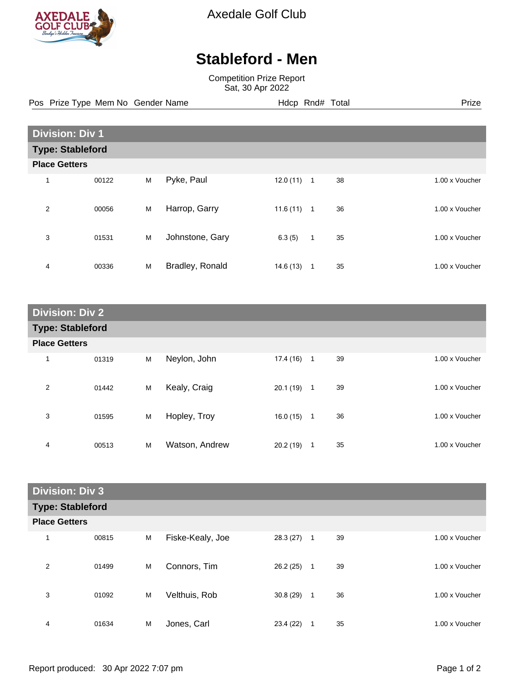

Axedale Golf Club

## **Stableford - Men**

Competition Prize Report Sat, 30 Apr 2022

Pos Prize Type Mem No Gender Name **Hdcp Rnd# Total** Prize Prize

| <b>Division: Div 1</b>  |       |   |                 |           |                |    |                |
|-------------------------|-------|---|-----------------|-----------|----------------|----|----------------|
| <b>Type: Stableford</b> |       |   |                 |           |                |    |                |
| <b>Place Getters</b>    |       |   |                 |           |                |    |                |
| 1                       | 00122 | M | Pyke, Paul      | 12.0(11)  | $\overline{1}$ | 38 | 1.00 x Voucher |
| 2                       | 00056 | M | Harrop, Garry   | 11.6(11)  | $\overline{1}$ | 36 | 1.00 x Voucher |
| 3                       | 01531 | M | Johnstone, Gary | 6.3(5)    | $\mathbf{1}$   | 35 | 1.00 x Voucher |
| 4                       | 00336 | M | Bradley, Ronald | 14.6 (13) | $\mathbf 1$    | 35 | 1.00 x Voucher |

| <b>Division: Div 2</b>  |       |   |                |           |              |    |                |
|-------------------------|-------|---|----------------|-----------|--------------|----|----------------|
| <b>Type: Stableford</b> |       |   |                |           |              |    |                |
| <b>Place Getters</b>    |       |   |                |           |              |    |                |
| 1                       | 01319 | M | Neylon, John   | 17.4(16)  | $\mathbf{1}$ | 39 | 1.00 x Voucher |
| 2                       | 01442 | M | Kealy, Craig   | 20.1(19)  | $\mathbf{1}$ | 39 | 1.00 x Voucher |
| 3                       | 01595 | M | Hopley, Troy   | 16.0 (15) | 1            | 36 | 1.00 x Voucher |
| 4                       | 00513 | M | Watson, Andrew | 20.2(19)  | 1            | 35 | 1.00 x Voucher |

| <b>Division: Div 3</b>  |       |   |                  |           |              |    |                |  |
|-------------------------|-------|---|------------------|-----------|--------------|----|----------------|--|
| <b>Type: Stableford</b> |       |   |                  |           |              |    |                |  |
| <b>Place Getters</b>    |       |   |                  |           |              |    |                |  |
| 1                       | 00815 | M | Fiske-Kealy, Joe | 28.3(27)  | $\mathbf{1}$ | 39 | 1.00 x Voucher |  |
| 2                       | 01499 | M | Connors, Tim     | 26.2(25)  | 1            | 39 | 1.00 x Voucher |  |
| 3                       | 01092 | M | Velthuis, Rob    | 30.8(29)  | $\mathbf{1}$ | 36 | 1.00 x Voucher |  |
| 4                       | 01634 | M | Jones, Carl      | 23.4 (22) | 1            | 35 | 1.00 x Voucher |  |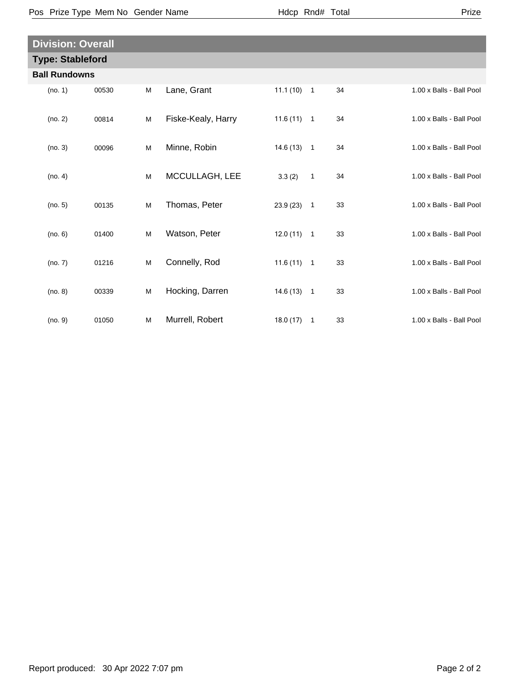| × |  |  |  |
|---|--|--|--|
|---|--|--|--|

| <b>Division: Overall</b> |       |   |                    |              |   |    |                          |
|--------------------------|-------|---|--------------------|--------------|---|----|--------------------------|
| <b>Type: Stableford</b>  |       |   |                    |              |   |    |                          |
| <b>Ball Rundowns</b>     |       |   |                    |              |   |    |                          |
| (no. 1)                  | 00530 | M | Lane, Grant        | $11.1(10)$ 1 |   | 34 | 1.00 x Balls - Ball Pool |
| (no. 2)                  | 00814 | M | Fiske-Kealy, Harry | $11.6(11)$ 1 |   | 34 | 1.00 x Balls - Ball Pool |
| (no. 3)                  | 00096 | M | Minne, Robin       | $14.6(13)$ 1 |   | 34 | 1.00 x Balls - Ball Pool |
| (no. 4)                  |       | M | MCCULLAGH, LEE     | 3.3(2)       | 1 | 34 | 1.00 x Balls - Ball Pool |
| (no. 5)                  | 00135 | M | Thomas, Peter      | $23.9(23)$ 1 |   | 33 | 1.00 x Balls - Ball Pool |
| (no. 6)                  | 01400 | M | Watson, Peter      | $12.0(11)$ 1 |   | 33 | 1.00 x Balls - Ball Pool |
| (no. 7)                  | 01216 | M | Connelly, Rod      | $11.6(11)$ 1 |   | 33 | 1.00 x Balls - Ball Pool |
| (no. 8)                  | 00339 | M | Hocking, Darren    | $14.6(13)$ 1 |   | 33 | 1.00 x Balls - Ball Pool |
| (no. 9)                  | 01050 | M | Murrell, Robert    | $18.0(17)$ 1 |   | 33 | 1.00 x Balls - Ball Pool |